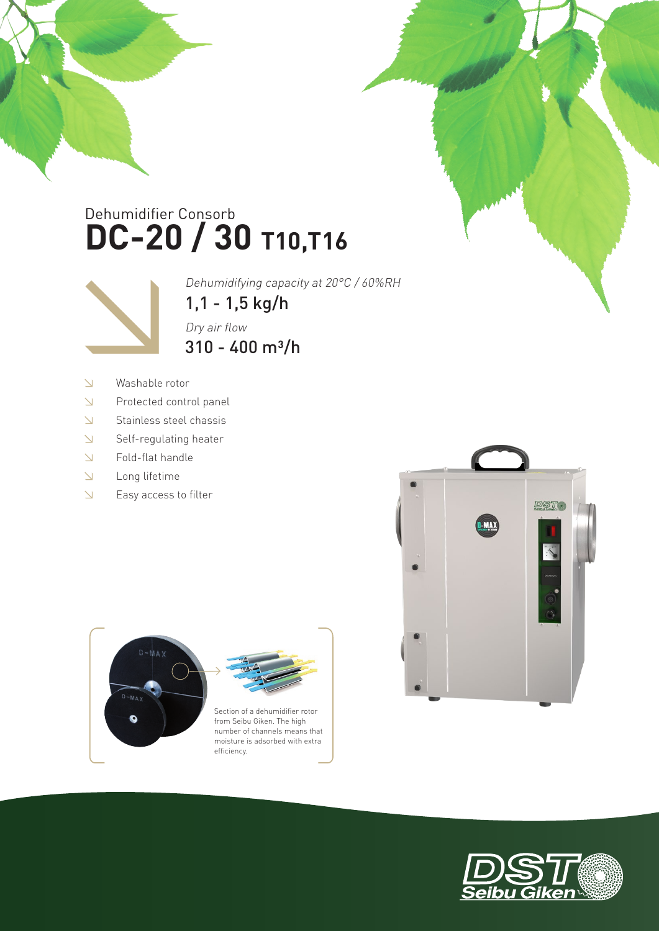## **DC-20 / 30 T10,T16** Dehumidifier Consorb



 $310 - 400$  m<sup>3</sup>/h 1,1 - 1,5 kg/h Dehumidifying capacity at 20°C / 60%RH Dry air flow

- $\Delta$ Washable rotor
- $\Delta$ Protected control panel
- $\bar{\Delta}$ Stainless steel chassis
- $\Delta$ Self-regulating heater
- Fold-flat handle  $\overline{\mathsf{N}}$
- $\Delta$ Long lifetime
- $\bar{\Delta}$ Easy access to filter